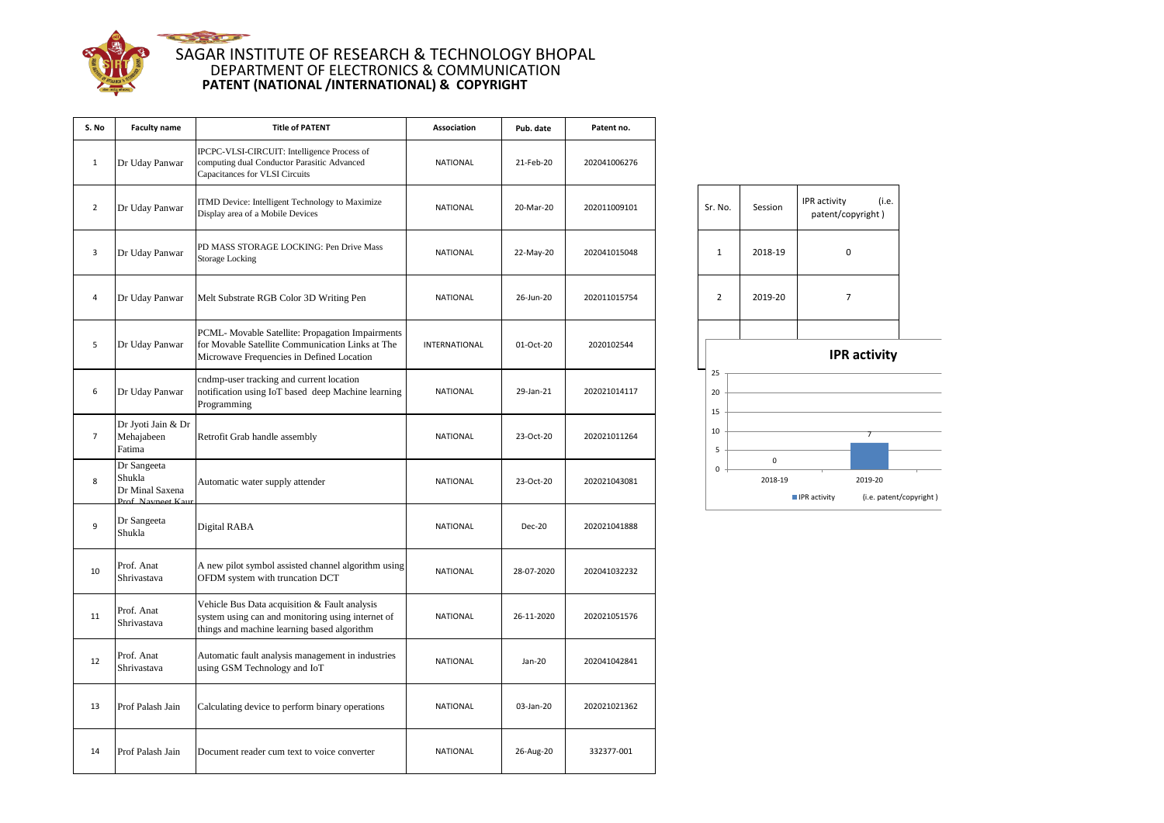

## **CONTRACTOR** SAGAR INSTITUTE OF RESEARCH & TECHNOLOGY BHOPAL DEPARTMENT OF ELECTRONICS & COMMUNICATION **PATENT (NATIONAL /INTERNATIONAL) & COPYRIGHT**

| S. No          | <b>Faculty name</b>                                           | <b>Title of PATENT</b>                                                                                                                            | <b>Association</b> | Pub. date  | Patent no.   |                |                      |                     |                            |
|----------------|---------------------------------------------------------------|---------------------------------------------------------------------------------------------------------------------------------------------------|--------------------|------------|--------------|----------------|----------------------|---------------------|----------------------------|
| $\mathbf{1}$   | Dr Uday Panwar                                                | IPCPC-VLSI-CIRCUIT: Intelligence Process of<br>computing dual Conductor Parasitic Advanced<br>Capacitances for VLSI Circuits                      | <b>NATIONAL</b>    | 21-Feb-20  | 202041006276 |                |                      |                     |                            |
| $\overline{2}$ | Dr Uday Panwar                                                | TMD Device: Intelligent Technology to Maximize<br>Display area of a Mobile Devices                                                                | <b>NATIONAL</b>    | 20-Mar-20  | 202011009101 | Sr. No.        | Session              | IPR activity        | (i.e.<br>patent/copyright) |
| 3              | Dr Uday Panwar                                                | PD MASS STORAGE LOCKING: Pen Drive Mass<br><b>Storage Locking</b>                                                                                 | <b>NATIONAL</b>    | 22-May-20  | 202041015048 | $\mathbf{1}$   | 2018-19              |                     | $\pmb{0}$                  |
| 4              | Dr Uday Panwar                                                | Melt Substrate RGB Color 3D Writing Pen                                                                                                           | <b>NATIONAL</b>    | 26-Jun-20  | 202011015754 | $\overline{2}$ | 2019-20              |                     | $\overline{7}$             |
| 5              | Dr Uday Panwar                                                | PCML- Movable Satellite: Propagation Impairments<br>for Movable Satellite Communication Links at The<br>Microwave Frequencies in Defined Location | INTERNATIONAL      | 01-Oct-20  | 2020102544   |                |                      |                     | IPR activity               |
| 6              | Dr Uday Panwar                                                | endmp-user tracking and current location<br>notification using IoT based deep Machine learning<br>Programming                                     | <b>NATIONAL</b>    | 29-Jan-21  | 202021014117 | 25<br>20<br>15 |                      |                     |                            |
| $\overline{7}$ | Dr Jyoti Jain & Dr<br>Mehajabeen<br>Fatima                    | Retrofit Grab handle assembly                                                                                                                     | <b>NATIONAL</b>    | 23-Oct-20  | 202021011264 | 10<br>5        |                      |                     |                            |
| 8              | Dr Sangeeta<br>Shukla<br>Dr Minal Saxena<br>Prof. Navneet Kau | Automatic water supply attender                                                                                                                   | <b>NATIONAL</b>    | 23-Oct-20  | 202021043081 | $\pmb{0}$      | $\pmb{0}$<br>2018-19 | <b>IPR</b> activity | 2019-20<br>(i.e. pater     |
| 9              | Dr Sangeeta<br>Shukla                                         | Digital RABA                                                                                                                                      | <b>NATIONAL</b>    | Dec-20     | 202021041888 |                |                      |                     |                            |
| 10             | Prof. Anat<br>Shrivastava                                     | A new pilot symbol assisted channel algorithm using<br>OFDM system with truncation DCT                                                            | <b>NATIONAL</b>    | 28-07-2020 | 202041032232 |                |                      |                     |                            |
| 11             | Prof. Anat<br>Shrivastava                                     | Vehicle Bus Data acquisition & Fault analysis<br>system using can and monitoring using internet of<br>things and machine learning based algorithm | <b>NATIONAL</b>    | 26-11-2020 | 202021051576 |                |                      |                     |                            |
| 12             | Prof. Anat<br>Shrivastava                                     | Automatic fault analysis management in industries<br>using GSM Technology and IoT                                                                 | <b>NATIONAL</b>    | Jan-20     | 202041042841 |                |                      |                     |                            |
| 13             | Prof Palash Jain                                              | Calculating device to perform binary operations                                                                                                   | NATIONAL           | 03-Jan-20  | 202021021362 |                |                      |                     |                            |
| 14             | Prof Palash Jain                                              | Document reader cum text to voice converter                                                                                                       | <b>NATIONAL</b>    | 26-Aug-20  | 332377-001   |                |                      |                     |                            |

| Sr. No.      | Session | (i.e.<br>IPR activity<br>patent/copyright) |
|--------------|---------|--------------------------------------------|
| $\mathbf{1}$ | 2018-19 | 0                                          |
| 2            | 2019-20 | 7                                          |
|              |         |                                            |
|              |         | <b>IPR</b> activity                        |
| 25           |         |                                            |
| 20           |         |                                            |
| 15           |         |                                            |
| 10           |         | 7                                          |
|              |         |                                            |

| 2018-19                     | 2019-20                 |
|-----------------------------|-------------------------|
| $\blacksquare$ IPR activity | (i.e. patent/copyright) |